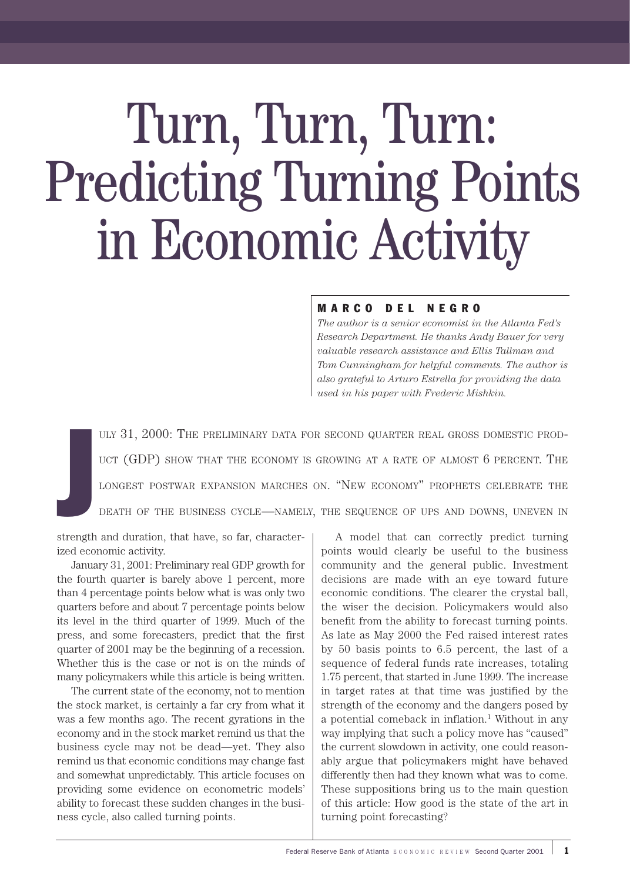# Turn, Turn, Turn: Predicting Turning Points in Economic Activity

#### MARCO DEL NEGRO

*The author is a senior economist in the Atlanta Fed's Research Department. He thanks Andy Bauer for very valuable research assistance and Ellis Tallman and Tom Cunningham for helpful comments. The author is also grateful to Arturo Estrella for providing the data used in his paper with Frederic Mishkin.*

ULY 31, 2000: THE PRELIMINARY DATA FOR SECOND QUARTER REAL GROSS DOMESTIC PROD-UCT (GDP) SHOW THAT THE ECONOMY IS GROWING AT A RATE OF ALMOST 6 PERCENT. THE LONGEST POSTWAR EXPANSION MARCHES ON. "NEW ECONOMY" PROPHETS CELEBRATE THE DEATH OF THE BUSINESS CYCLE—NAMELY, THE SEQUENCE OF UPS AND DOWNS, UNEVEN IN

J strength and duration, that have, so far, characterized economic activity.

January 31, 2001: Preliminary real GDP growth for the fourth quarter is barely above 1 percent, more than 4 percentage points below what is was only two quarters before and about 7 percentage points below its level in the third quarter of 1999. Much of the press, and some forecasters, predict that the first quarter of 2001 may be the beginning of a recession. Whether this is the case or not is on the minds of many policymakers while this article is being written.

The current state of the economy, not to mention the stock market, is certainly a far cry from what it was a few months ago. The recent gyrations in the economy and in the stock market remind us that the business cycle may not be dead—yet. They also remind us that economic conditions may change fast and somewhat unpredictably. This article focuses on providing some evidence on econometric models' ability to forecast these sudden changes in the business cycle, also called turning points.

A model that can correctly predict turning points would clearly be useful to the business community and the general public. Investment decisions are made with an eye toward future economic conditions. The clearer the crystal ball, the wiser the decision. Policymakers would also benefit from the ability to forecast turning points. As late as May 2000 the Fed raised interest rates by 50 basis points to 6.5 percent, the last of a sequence of federal funds rate increases, totaling 1.75 percent, that started in June 1999. The increase in target rates at that time was justified by the strength of the economy and the dangers posed by a potential comeback in inflation.1 Without in any way implying that such a policy move has "caused" the current slowdown in activity, one could reasonably argue that policymakers might have behaved differently then had they known what was to come. These suppositions bring us to the main question of this article: How good is the state of the art in turning point forecasting?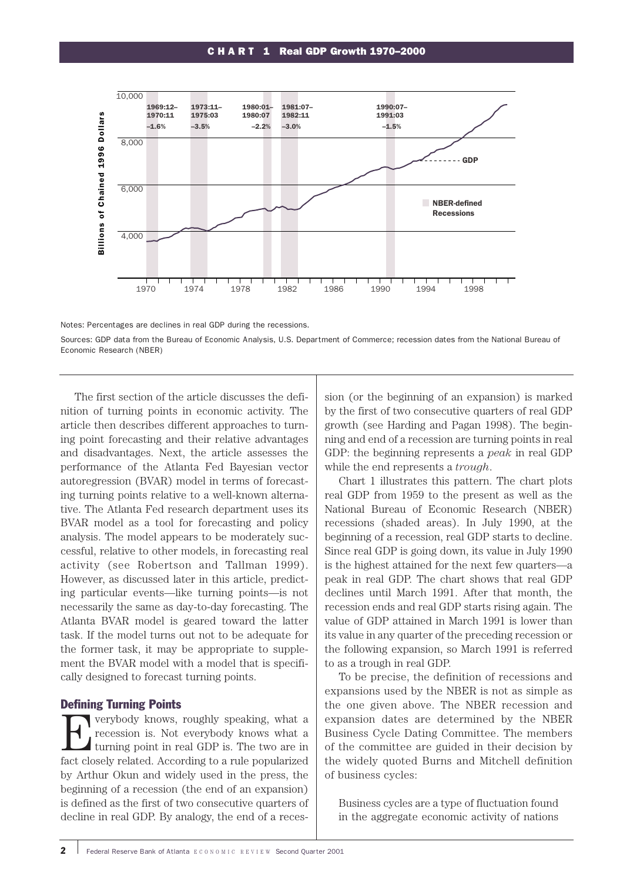#### CHART 1 Real GDP Growth 1970–2000



Notes: Percentages are declines in real GDP during the recessions.

Sources: GDP data from the Bureau of Economic Analysis, U.S. Department of Commerce; recession dates from the National Bureau of Economic Research (NBER)

The first section of the article discusses the definition of turning points in economic activity. The article then describes different approaches to turning point forecasting and their relative advantages and disadvantages. Next, the article assesses the performance of the Atlanta Fed Bayesian vector autoregression (BVAR) model in terms of forecasting turning points relative to a well-known alternative. The Atlanta Fed research department uses its BVAR model as a tool for forecasting and policy analysis. The model appears to be moderately successful, relative to other models, in forecasting real activity (see Robertson and Tallman 1999). However, as discussed later in this article, predicting particular events—like turning points—is not necessarily the same as day-to-day forecasting. The Atlanta BVAR model is geared toward the latter task. If the model turns out not to be adequate for the former task, it may be appropriate to supplement the BVAR model with a model that is specifically designed to forecast turning points.

#### Defining Turning Points

**EVERY SERVICE STARK SERVICE SERVICE SERVICE SERVICE SERVICE SERVICE SERVICE SERVICE SERVICE SERVICE SERVICE SPECIFICAL SERVICE SERVICE SERVICE SERVICE SERVICE SPECIFICAL SERVICE SPECIFICAL SERVICE SPECIFICAL SERVICE SPECI** recession is. Not everybody knows what a turning point in real GDP is. The two are in fact closely related. According to a rule popularized by Arthur Okun and widely used in the press, the beginning of a recession (the end of an expansion) is defined as the first of two consecutive quarters of decline in real GDP. By analogy, the end of a recession (or the beginning of an expansion) is marked by the first of two consecutive quarters of real GDP growth (see Harding and Pagan 1998). The beginning and end of a recession are turning points in real GDP: the beginning represents a *peak* in real GDP while the end represents a *trough*.

Chart 1 illustrates this pattern. The chart plots real GDP from 1959 to the present as well as the National Bureau of Economic Research (NBER) recessions (shaded areas). In July 1990, at the beginning of a recession, real GDP starts to decline. Since real GDP is going down, its value in July 1990 is the highest attained for the next few quarters—a peak in real GDP. The chart shows that real GDP declines until March 1991. After that month, the recession ends and real GDP starts rising again. The value of GDP attained in March 1991 is lower than its value in any quarter of the preceding recession or the following expansion, so March 1991 is referred to as a trough in real GDP.

To be precise, the definition of recessions and expansions used by the NBER is not as simple as the one given above. The NBER recession and expansion dates are determined by the NBER Business Cycle Dating Committee. The members of the committee are guided in their decision by the widely quoted Burns and Mitchell definition of business cycles:

Business cycles are a type of fluctuation found in the aggregate economic activity of nations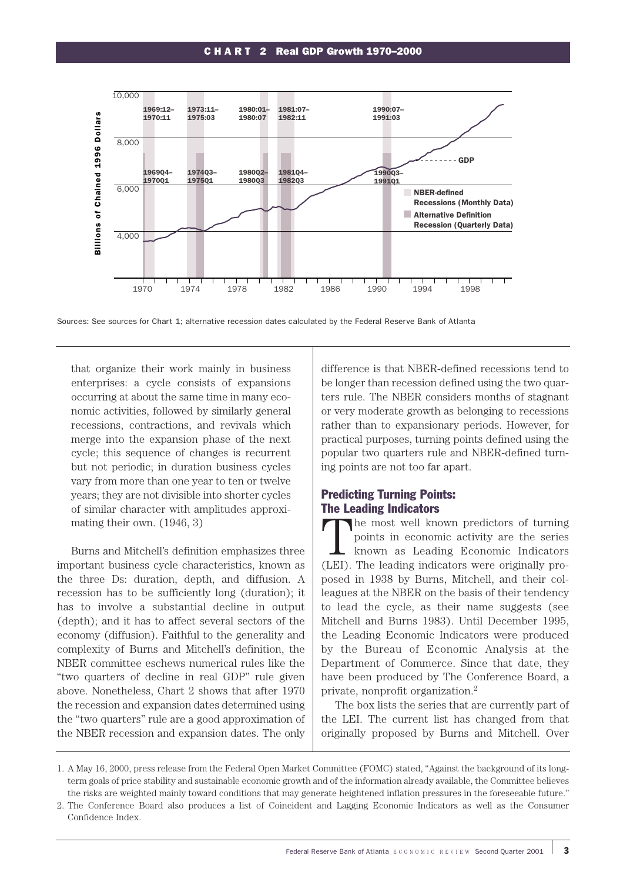#### CHART 2 Real GDP Growth 1970–2000



Sources: See sources for Chart 1; alternative recession dates calculated by the Federal Reserve Bank of Atlanta

that organize their work mainly in business enterprises: a cycle consists of expansions occurring at about the same time in many economic activities, followed by similarly general recessions, contractions, and revivals which merge into the expansion phase of the next cycle; this sequence of changes is recurrent but not periodic; in duration business cycles vary from more than one year to ten or twelve years; they are not divisible into shorter cycles of similar character with amplitudes approximating their own. (1946, 3)

Burns and Mitchell's definition emphasizes three important business cycle characteristics, known as the three Ds: duration, depth, and diffusion. A recession has to be sufficiently long (duration); it has to involve a substantial decline in output (depth); and it has to affect several sectors of the economy (diffusion). Faithful to the generality and complexity of Burns and Mitchell's definition, the NBER committee eschews numerical rules like the "two quarters of decline in real GDP" rule given above. Nonetheless, Chart 2 shows that after 1970 the recession and expansion dates determined using the "two quarters" rule are a good approximation of the NBER recession and expansion dates. The only

difference is that NBER-defined recessions tend to be longer than recession defined using the two quarters rule. The NBER considers months of stagnant or very moderate growth as belonging to recessions rather than to expansionary periods. However, for practical purposes, turning points defined using the popular two quarters rule and NBER-defined turning points are not too far apart.

# Predicting Turning Points: The Leading Indicators

The most well known predictors of turning points in economic activity are the series known as Leading Economic Indicators (LEI). The leading indicators were originally proposed in 1938 by Burns, Mitchell, and their colleagues at the NBER on the basis of their tendency to lead the cycle, as their name suggests (see Mitchell and Burns 1983). Until December 1995, the Leading Economic Indicators were produced by the Bureau of Economic Analysis at the Department of Commerce. Since that date, they have been produced by The Conference Board, a private, nonprofit organization.2

The box lists the series that are currently part of the LEI. The current list has changed from that originally proposed by Burns and Mitchell. Over

<sup>1.</sup> A May 16, 2000, press release from the Federal Open Market Committee (FOMC) stated, "Against the background of its longterm goals of price stability and sustainable economic growth and of the information already available, the Committee believes the risks are weighted mainly toward conditions that may generate heightened inflation pressures in the foreseeable future."

<sup>2.</sup> The Conference Board also produces a list of Coincident and Lagging Economic Indicators as well as the Consumer Confidence Index.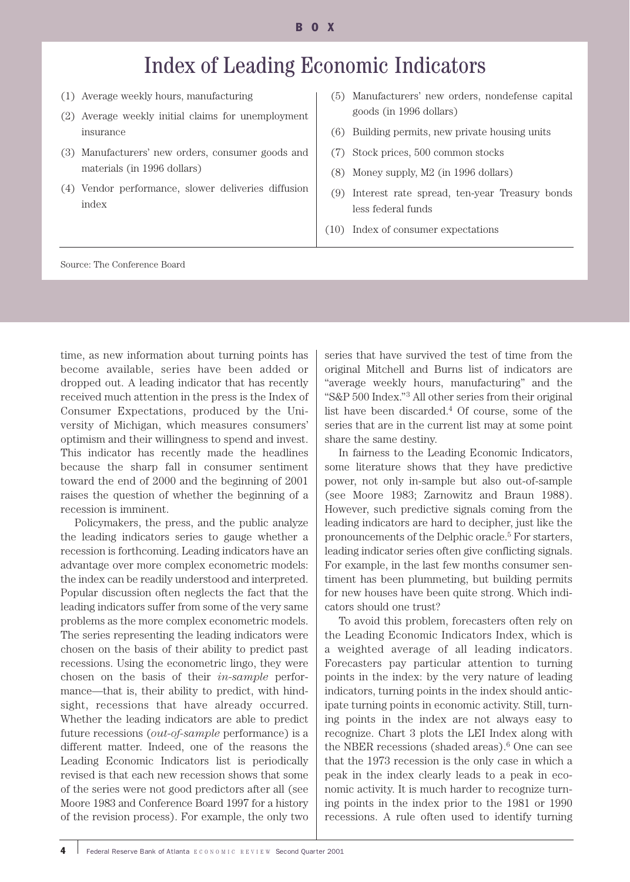#### BOX

# Index of Leading Economic Indicators

- (1) Average weekly hours, manufacturing
- (2) Average weekly initial claims for unemployment insurance
- (3) Manufacturers' new orders, consumer goods and materials (in 1996 dollars)
- (4) Vendor performance, slower deliveries diffusion index
- (5) Manufacturers' new orders, nondefense capital goods (in 1996 dollars)
- (6) Building permits, new private housing units
- (7) Stock prices, 500 common stocks
- (8) Money supply, M2 (in 1996 dollars)
- (9) Interest rate spread, ten-year Treasury bonds less federal funds
- (10) Index of consumer expectations

Source: The Conference Board

time, as new information about turning points has become available, series have been added or dropped out. A leading indicator that has recently received much attention in the press is the Index of Consumer Expectations, produced by the University of Michigan, which measures consumers' optimism and their willingness to spend and invest. This indicator has recently made the headlines because the sharp fall in consumer sentiment toward the end of 2000 and the beginning of 2001 raises the question of whether the beginning of a recession is imminent.

Policymakers, the press, and the public analyze the leading indicators series to gauge whether a recession is forthcoming. Leading indicators have an advantage over more complex econometric models: the index can be readily understood and interpreted. Popular discussion often neglects the fact that the leading indicators suffer from some of the very same problems as the more complex econometric models. The series representing the leading indicators were chosen on the basis of their ability to predict past recessions. Using the econometric lingo, they were chosen on the basis of their *in-sample* performance—that is, their ability to predict, with hindsight, recessions that have already occurred. Whether the leading indicators are able to predict future recessions (*out-of-sample* performance) is a different matter. Indeed, one of the reasons the Leading Economic Indicators list is periodically revised is that each new recession shows that some of the series were not good predictors after all (see Moore 1983 and Conference Board 1997 for a history of the revision process). For example, the only two

series that have survived the test of time from the original Mitchell and Burns list of indicators are "average weekly hours, manufacturing" and the "S&P 500 Index."3 All other series from their original list have been discarded.4 Of course, some of the series that are in the current list may at some point share the same destiny.

In fairness to the Leading Economic Indicators, some literature shows that they have predictive power, not only in-sample but also out-of-sample (see Moore 1983; Zarnowitz and Braun 1988). However, such predictive signals coming from the leading indicators are hard to decipher, just like the pronouncements of the Delphic oracle.5 For starters, leading indicator series often give conflicting signals. For example, in the last few months consumer sentiment has been plummeting, but building permits for new houses have been quite strong. Which indicators should one trust?

To avoid this problem, forecasters often rely on the Leading Economic Indicators Index, which is a weighted average of all leading indicators. Forecasters pay particular attention to turning points in the index: by the very nature of leading indicators, turning points in the index should anticipate turning points in economic activity. Still, turning points in the index are not always easy to recognize. Chart 3 plots the LEI Index along with the NBER recessions (shaded areas). $6$  One can see that the 1973 recession is the only case in which a peak in the index clearly leads to a peak in economic activity. It is much harder to recognize turning points in the index prior to the 1981 or 1990 recessions. A rule often used to identify turning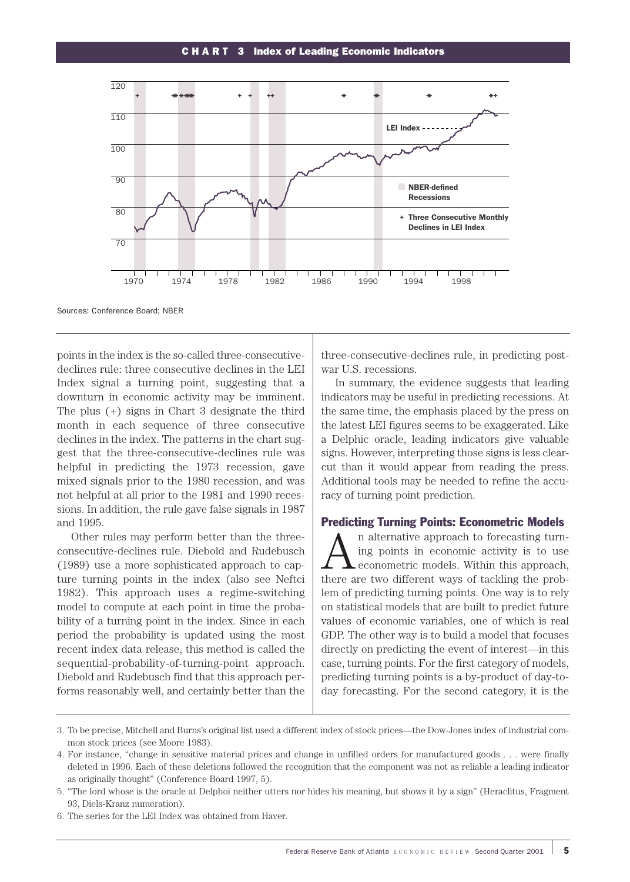

Sources: Conference Board; NBER

points in the index is the so-called three-consecutivedeclines rule: three consecutive declines in the LEI Index signal a turning point, suggesting that a downturn in economic activity may be imminent. The plus (+) signs in Chart 3 designate the third month in each sequence of three consecutive declines in the index. The patterns in the chart suggest that the three-consecutive-declines rule was helpful in predicting the 1973 recession, gave mixed signals prior to the 1980 recession, and was not helpful at all prior to the 1981 and 1990 recessions. In addition, the rule gave false signals in 1987 and 1995.

Other rules may perform better than the threeconsecutive-declines rule. Diebold and Rudebusch (1989) use a more sophisticated approach to capture turning points in the index (also see Neftci 1982). This approach uses a regime-switching model to compute at each point in time the probability of a turning point in the index. Since in each period the probability is updated using the most recent index data release, this method is called the sequential-probability-of-turning-point approach. Diebold and Rudebusch find that this approach performs reasonably well, and certainly better than the

three-consecutive-declines rule, in predicting postwar U.S. recessions.

In summary, the evidence suggests that leading indicators may be useful in predicting recessions. At the same time, the emphasis placed by the press on the latest LEI figures seems to be exaggerated. Like a Delphic oracle, leading indicators give valuable signs. However, interpreting those signs is less clearcut than it would appear from reading the press. Additional tools may be needed to refine the accuracy of turning point prediction.

#### Predicting Turning Points: Econometric Models

An alternative approach to forecasting turn-<br>ing points in economic activity is to use<br>econometric models. Within this approach,<br>there are two different wave of tackling the probing points in economic activity is to use there are two different ways of tackling the problem of predicting turning points. One way is to rely on statistical models that are built to predict future values of economic variables, one of which is real GDP. The other way is to build a model that focuses directly on predicting the event of interest—in this case, turning points. For the first category of models, predicting turning points is a by-product of day-today forecasting. For the second category, it is the

<sup>3.</sup> To be precise, Mitchell and Burns's original list used a different index of stock prices—the Dow-Jones index of industrial common stock prices (see Moore 1983).

<sup>4.</sup> For instance, "change in sensitive material prices and change in unfilled orders for manufactured goods . . . were finally deleted in 1996. Each of these deletions followed the recognition that the component was not as reliable a leading indicator as originally thought" (Conference Board 1997, 5).

<sup>5. &</sup>quot;The lord whose is the oracle at Delphoi neither utters nor hides his meaning, but shows it by a sign" (Heraclitus, Fragment 93, Diels-Kranz numeration).

<sup>6.</sup> The series for the LEI Index was obtained from Haver.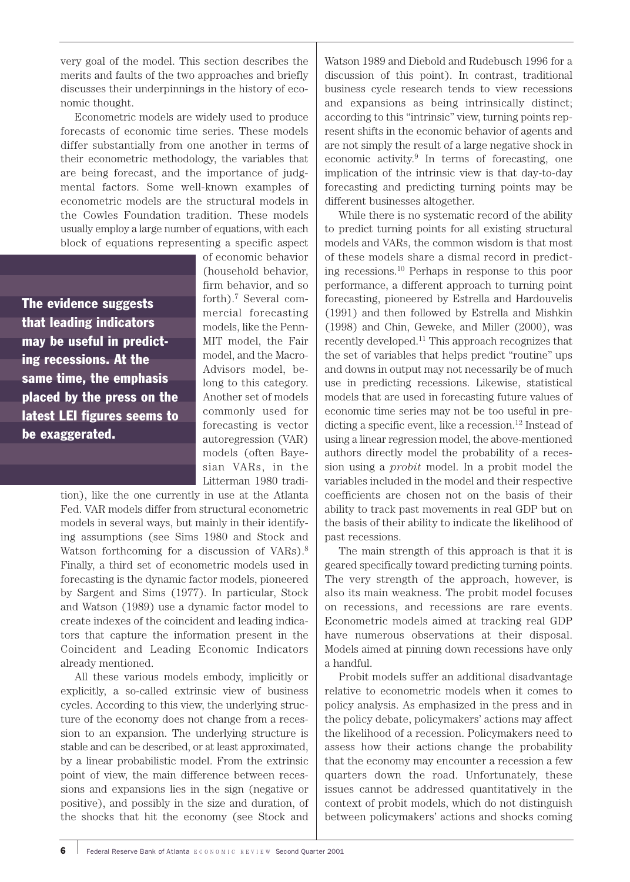very goal of the model. This section describes the merits and faults of the two approaches and briefly discusses their underpinnings in the history of economic thought.

Econometric models are widely used to produce forecasts of economic time series. These models differ substantially from one another in terms of their econometric methodology, the variables that are being forecast, and the importance of judgmental factors. Some well-known examples of econometric models are the structural models in the Cowles Foundation tradition. These models usually employ a large number of equations, with each block of equations representing a specific aspect

The evidence suggests that leading indicators may be useful in predicting recessions. At the same time, the emphasis placed by the press on the latest LEI figures seems to be exaggerated.

of economic behavior (household behavior, firm behavior, and so forth).7 Several commercial forecasting models, like the Penn-MIT model, the Fair model, and the Macro-Advisors model, belong to this category. Another set of models commonly used for forecasting is vector autoregression (VAR) models (often Bayesian VARs, in the Litterman 1980 tradi-

tion), like the one currently in use at the Atlanta Fed. VAR models differ from structural econometric models in several ways, but mainly in their identifying assumptions (see Sims 1980 and Stock and Watson forthcoming for a discussion of VARs).<sup>8</sup> Finally, a third set of econometric models used in forecasting is the dynamic factor models, pioneered by Sargent and Sims (1977). In particular, Stock and Watson (1989) use a dynamic factor model to create indexes of the coincident and leading indicators that capture the information present in the Coincident and Leading Economic Indicators already mentioned.

All these various models embody, implicitly or explicitly, a so-called extrinsic view of business cycles. According to this view, the underlying structure of the economy does not change from a recession to an expansion. The underlying structure is stable and can be described, or at least approximated, by a linear probabilistic model. From the extrinsic point of view, the main difference between recessions and expansions lies in the sign (negative or positive), and possibly in the size and duration, of the shocks that hit the economy (see Stock and

Watson 1989 and Diebold and Rudebusch 1996 for a discussion of this point). In contrast, traditional business cycle research tends to view recessions and expansions as being intrinsically distinct; according to this "intrinsic" view, turning points represent shifts in the economic behavior of agents and are not simply the result of a large negative shock in economic activity.9 In terms of forecasting, one implication of the intrinsic view is that day-to-day forecasting and predicting turning points may be different businesses altogether.

While there is no systematic record of the ability to predict turning points for all existing structural models and VARs, the common wisdom is that most of these models share a dismal record in predicting recessions.10 Perhaps in response to this poor performance, a different approach to turning point forecasting, pioneered by Estrella and Hardouvelis (1991) and then followed by Estrella and Mishkin (1998) and Chin, Geweke, and Miller (2000), was recently developed.11 This approach recognizes that the set of variables that helps predict "routine" ups and downs in output may not necessarily be of much use in predicting recessions. Likewise, statistical models that are used in forecasting future values of economic time series may not be too useful in predicting a specific event, like a recession.<sup>12</sup> Instead of using a linear regression model, the above-mentioned authors directly model the probability of a recession using a *probit* model. In a probit model the variables included in the model and their respective coefficients are chosen not on the basis of their ability to track past movements in real GDP but on the basis of their ability to indicate the likelihood of past recessions.

The main strength of this approach is that it is geared specifically toward predicting turning points. The very strength of the approach, however, is also its main weakness. The probit model focuses on recessions, and recessions are rare events. Econometric models aimed at tracking real GDP have numerous observations at their disposal. Models aimed at pinning down recessions have only a handful.

Probit models suffer an additional disadvantage relative to econometric models when it comes to policy analysis. As emphasized in the press and in the policy debate, policymakers' actions may affect the likelihood of a recession. Policymakers need to assess how their actions change the probability that the economy may encounter a recession a few quarters down the road. Unfortunately, these issues cannot be addressed quantitatively in the context of probit models, which do not distinguish between policymakers' actions and shocks coming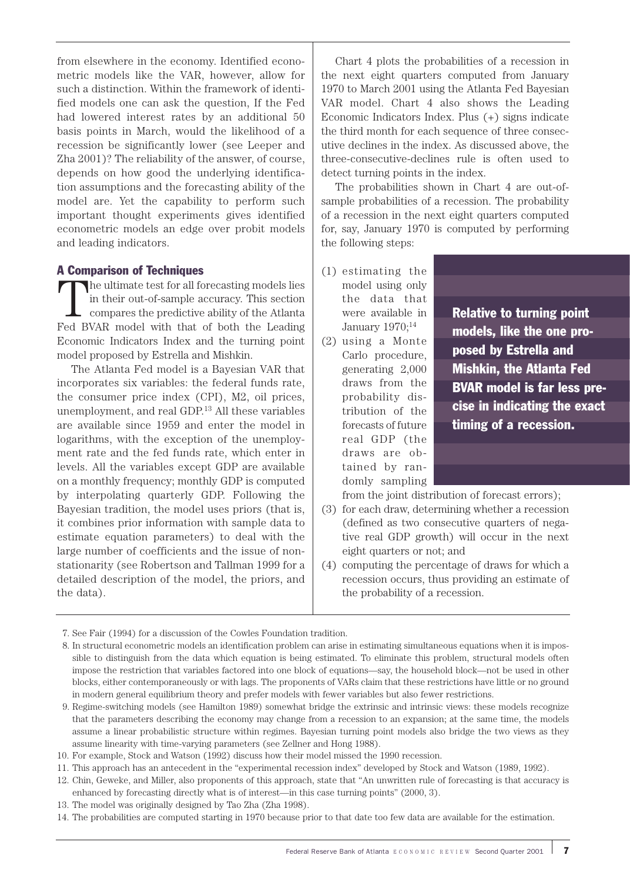from elsewhere in the economy. Identified econometric models like the VAR, however, allow for such a distinction. Within the framework of identified models one can ask the question, If the Fed had lowered interest rates by an additional 50 basis points in March, would the likelihood of a recession be significantly lower (see Leeper and Zha 2001)? The reliability of the answer, of course, depends on how good the underlying identification assumptions and the forecasting ability of the model are. Yet the capability to perform such important thought experiments gives identified econometric models an edge over probit models and leading indicators.

# A Comparison of Techniques

The ultimate test for all forecasting models lies in their out-of-sample accuracy. This section compares the predictive ability of the Atlanta Fed BVAR model with that of both the Leading Economic Indicators Index and the turning point model proposed by Estrella and Mishkin.

The Atlanta Fed model is a Bayesian VAR that incorporates six variables: the federal funds rate, the consumer price index (CPI), M2, oil prices, unemployment, and real GDP.13 All these variables are available since 1959 and enter the model in logarithms, with the exception of the unemployment rate and the fed funds rate, which enter in levels. All the variables except GDP are available on a monthly frequency; monthly GDP is computed by interpolating quarterly GDP. Following the Bayesian tradition, the model uses priors (that is, it combines prior information with sample data to estimate equation parameters) to deal with the large number of coefficients and the issue of nonstationarity (see Robertson and Tallman 1999 for a detailed description of the model, the priors, and the data).

Chart 4 plots the probabilities of a recession in the next eight quarters computed from January 1970 to March 2001 using the Atlanta Fed Bayesian VAR model. Chart 4 also shows the Leading Economic Indicators Index. Plus (+) signs indicate the third month for each sequence of three consecutive declines in the index. As discussed above, the three-consecutive-declines rule is often used to detect turning points in the index.

The probabilities shown in Chart 4 are out-ofsample probabilities of a recession. The probability of a recession in the next eight quarters computed for, say, January 1970 is computed by performing the following steps:

- (1) estimating the model using only the data that were available in January 1970;<sup>14</sup>
- (2) using a Monte Carlo procedure, generating 2,000 draws from the probability distribution of the forecasts of future real GDP (the draws are obtained by randomly sampling

Relative to turning point models, like the one proposed by Estrella and Mishkin, the Atlanta Fed BVAR model is far less precise in indicating the exact timing of a recession.

from the joint distribution of forecast errors);

- (3) for each draw, determining whether a recession (defined as two consecutive quarters of negative real GDP growth) will occur in the next eight quarters or not; and
- (4) computing the percentage of draws for which a recession occurs, thus providing an estimate of the probability of a recession.

<sup>7.</sup> See Fair (1994) for a discussion of the Cowles Foundation tradition.

<sup>8.</sup> In structural econometric models an identification problem can arise in estimating simultaneous equations when it is impossible to distinguish from the data which equation is being estimated. To eliminate this problem, structural models often impose the restriction that variables factored into one block of equations—say, the household block—not be used in other blocks, either contemporaneously or with lags. The proponents of VARs claim that these restrictions have little or no ground in modern general equilibrium theory and prefer models with fewer variables but also fewer restrictions.

<sup>9.</sup> Regime-switching models (see Hamilton 1989) somewhat bridge the extrinsic and intrinsic views: these models recognize that the parameters describing the economy may change from a recession to an expansion; at the same time, the models assume a linear probabilistic structure within regimes. Bayesian turning point models also bridge the two views as they assume linearity with time-varying parameters (see Zellner and Hong 1988).

<sup>10.</sup> For example, Stock and Watson (1992) discuss how their model missed the 1990 recession.

<sup>11.</sup> This approach has an antecedent in the "experimental recession index" developed by Stock and Watson (1989, 1992).

<sup>12.</sup> Chin, Geweke, and Miller, also proponents of this approach, state that "An unwritten rule of forecasting is that accuracy is enhanced by forecasting directly what is of interest—in this case turning points" (2000, 3).

<sup>13.</sup> The model was originally designed by Tao Zha (Zha 1998).

<sup>14.</sup> The probabilities are computed starting in 1970 because prior to that date too few data are available for the estimation.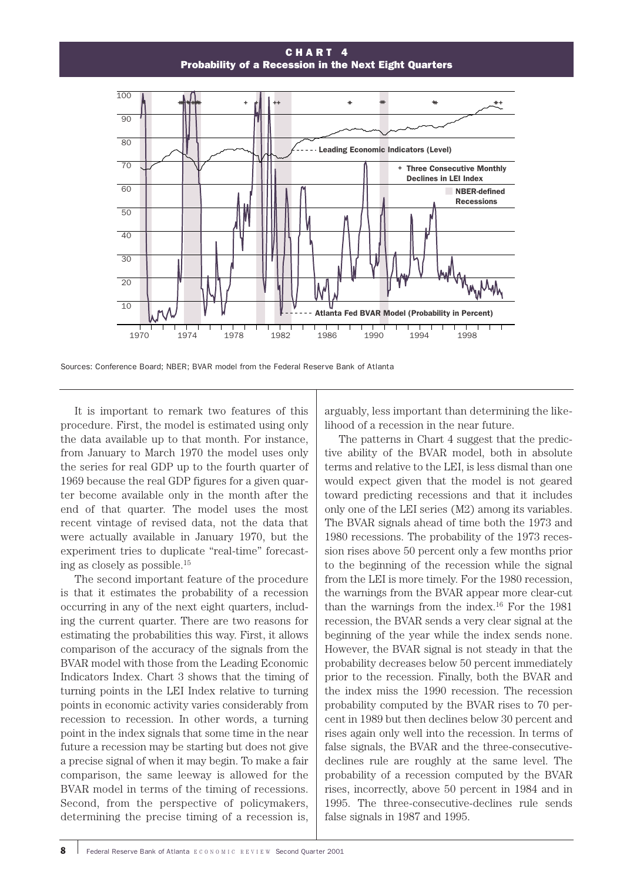Probability of a Recession in the Next Eight Quarters CHART 4



Sources: Conference Board; NBER; BVAR model from the Federal Reserve Bank of Atlanta

It is important to remark two features of this procedure. First, the model is estimated using only the data available up to that month. For instance, from January to March 1970 the model uses only the series for real GDP up to the fourth quarter of 1969 because the real GDP figures for a given quarter become available only in the month after the end of that quarter. The model uses the most recent vintage of revised data, not the data that were actually available in January 1970, but the experiment tries to duplicate "real-time" forecasting as closely as possible.15

The second important feature of the procedure is that it estimates the probability of a recession occurring in any of the next eight quarters, including the current quarter. There are two reasons for estimating the probabilities this way. First, it allows comparison of the accuracy of the signals from the BVAR model with those from the Leading Economic Indicators Index. Chart 3 shows that the timing of turning points in the LEI Index relative to turning points in economic activity varies considerably from recession to recession. In other words, a turning point in the index signals that some time in the near future a recession may be starting but does not give a precise signal of when it may begin. To make a fair comparison, the same leeway is allowed for the BVAR model in terms of the timing of recessions. Second, from the perspective of policymakers, determining the precise timing of a recession is,

arguably, less important than determining the likelihood of a recession in the near future.

The patterns in Chart 4 suggest that the predictive ability of the BVAR model, both in absolute terms and relative to the LEI, is less dismal than one would expect given that the model is not geared toward predicting recessions and that it includes only one of the LEI series (M2) among its variables. The BVAR signals ahead of time both the 1973 and 1980 recessions. The probability of the 1973 recession rises above 50 percent only a few months prior to the beginning of the recession while the signal from the LEI is more timely. For the 1980 recession, the warnings from the BVAR appear more clear-cut than the warnings from the index.<sup>16</sup> For the 1981 recession, the BVAR sends a very clear signal at the beginning of the year while the index sends none. However, the BVAR signal is not steady in that the probability decreases below 50 percent immediately prior to the recession. Finally, both the BVAR and the index miss the 1990 recession. The recession probability computed by the BVAR rises to 70 percent in 1989 but then declines below 30 percent and rises again only well into the recession. In terms of false signals, the BVAR and the three-consecutivedeclines rule are roughly at the same level. The probability of a recession computed by the BVAR rises, incorrectly, above 50 percent in 1984 and in 1995. The three-consecutive-declines rule sends false signals in 1987 and 1995.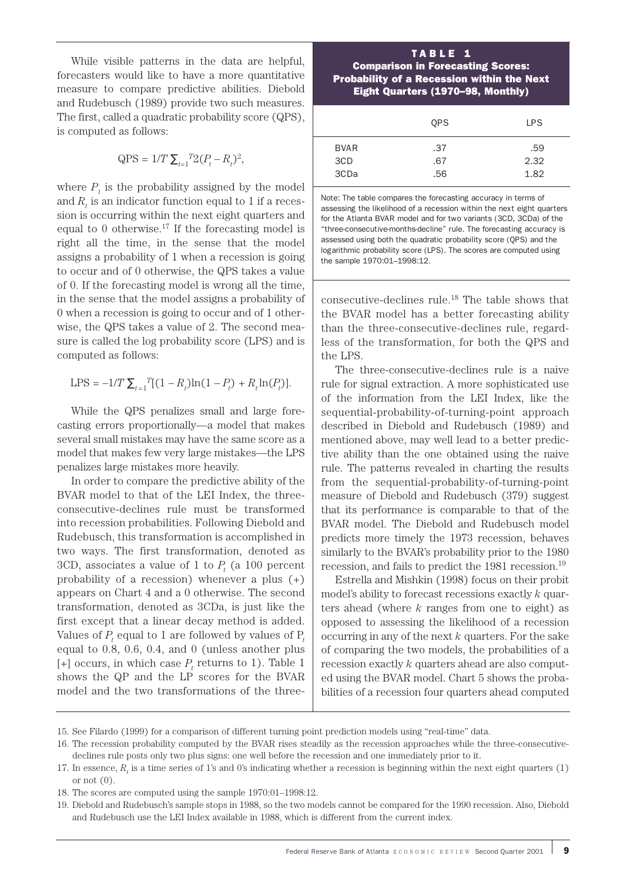While visible patterns in the data are helpful, forecasters would like to have a more quantitative measure to compare predictive abilities. Diebold and Rudebusch (1989) provide two such measures. The first, called a quadratic probability score (QPS), is computed as follows:

$$
QPS = 1/T \sum_{t=1}^{T} 2(P_t - R_t)^2,
$$

where  $P_t$  is the probability assigned by the model and  $R_t$  is an indicator function equal to 1 if a recession is occurring within the next eight quarters and equal to 0 otherwise.17 If the forecasting model is right all the time, in the sense that the model assigns a probability of 1 when a recession is going to occur and of 0 otherwise, the QPS takes a value of 0. If the forecasting model is wrong all the time, in the sense that the model assigns a probability of 0 when a recession is going to occur and of 1 otherwise, the QPS takes a value of 2. The second measure is called the log probability score (LPS) and is computed as follows:

$$
LPS = -1/T \sum_{t=1}^{T} [(1 - R_t) \ln(1 - P_t) + R_t \ln(P_t)].
$$

While the QPS penalizes small and large forecasting errors proportionally—a model that makes several small mistakes may have the same score as a model that makes few very large mistakes—the LPS penalizes large mistakes more heavily.

In order to compare the predictive ability of the BVAR model to that of the LEI Index, the threeconsecutive-declines rule must be transformed into recession probabilities. Following Diebold and Rudebusch, this transformation is accomplished in two ways. The first transformation, denoted as 3CD, associates a value of 1 to  $P_t$  (a 100 percent probability of a recession) whenever a plus  $(+)$ appears on Chart 4 and a 0 otherwise. The second transformation, denoted as 3CDa, is just like the first except that a linear decay method is added. Values of  $P_t$  equal to 1 are followed by values of  $P_t$ equal to 0.8, 0.6, 0.4, and 0 (unless another plus  $[+]$  occurs, in which case  $P_t$  returns to 1). Table 1 shows the QP and the LP scores for the BVAR model and the two transformations of the three-

### TABLE 1

Comparison in Forecasting Scores: Probability of a Recession within the Next Eight Quarters (1970–98, Monthly)

|                    | <b>OPS</b> | <b>LPS</b>  |
|--------------------|------------|-------------|
| <b>BVAR</b><br>3CD | .37<br>.67 | .59<br>2.32 |
| 3CDa               | .56        | 1.82        |

Note: The table compares the forecasting accuracy in terms of assessing the likelihood of a recession within the next eight quarters for the Atlanta BVAR model and for two variants (3CD, 3CDa) of the "three-consecutive-months-decline" rule. The forecasting accuracy is assessed using both the quadratic probability score (QPS) and the logarithmic probability score (LPS). The scores are computed using the sample 1970:01–1998:12.

consecutive-declines rule.18 The table shows that the BVAR model has a better forecasting ability than the three-consecutive-declines rule, regardless of the transformation, for both the QPS and the LPS.

The three-consecutive-declines rule is a naive rule for signal extraction. A more sophisticated use of the information from the LEI Index, like the sequential-probability-of-turning-point approach described in Diebold and Rudebusch (1989) and mentioned above, may well lead to a better predictive ability than the one obtained using the naive rule. The patterns revealed in charting the results from the sequential-probability-of-turning-point measure of Diebold and Rudebusch (379) suggest that its performance is comparable to that of the BVAR model. The Diebold and Rudebusch model predicts more timely the 1973 recession, behaves similarly to the BVAR's probability prior to the 1980 recession, and fails to predict the 1981 recession.19

Estrella and Mishkin (1998) focus on their probit model's ability to forecast recessions exactly *k* quarters ahead (where *k* ranges from one to eight) as opposed to assessing the likelihood of a recession occurring in any of the next *k* quarters. For the sake of comparing the two models, the probabilities of a recession exactly *k* quarters ahead are also computed using the BVAR model. Chart 5 shows the probabilities of a recession four quarters ahead computed

<sup>15.</sup> See Filardo (1999) for a comparison of different turning point prediction models using "real-time" data.

<sup>16.</sup> The recession probability computed by the BVAR rises steadily as the recession approaches while the three-consecutivedeclines rule posts only two plus signs: one well before the recession and one immediately prior to it.

<sup>17.</sup> In essence, *Rt* is a time series of 1's and 0's indicating whether a recession is beginning within the next eight quarters (1) or not  $(0)$ .

<sup>18.</sup> The scores are computed using the sample 1970:01–1998:12.

<sup>19.</sup> Diebold and Rudebusch's sample stops in 1988, so the two models cannot be compared for the 1990 recession. Also, Diebold and Rudebusch use the LEI Index available in 1988, which is different from the current index.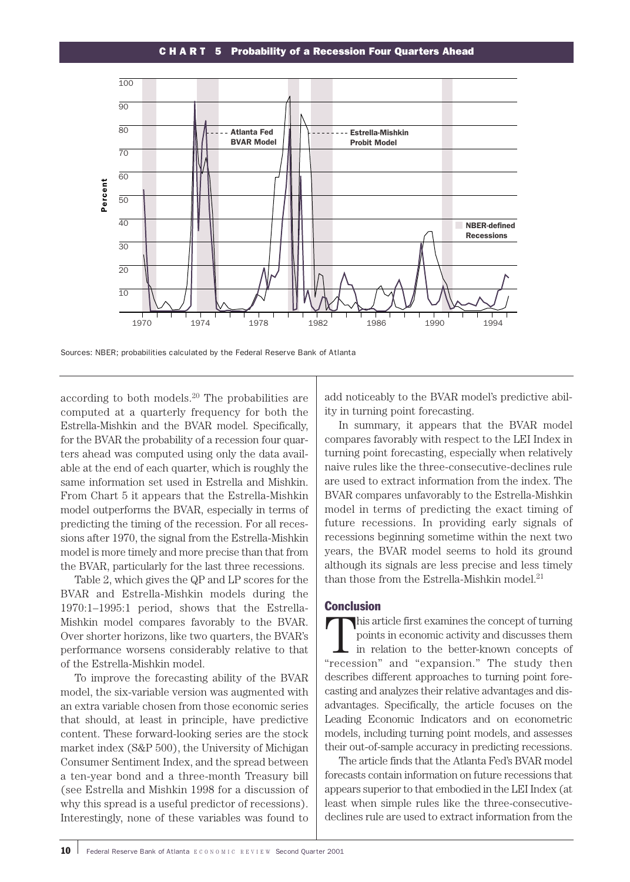# CHART 5 Probability of a Recession Four Quarters Ahead C H A R T 5 Probability of a Recession Four Quarters Ahead



Sources: NBER; probabilities calculated by the Federal Reserve Bank of Atlanta

according to both models.20 The probabilities are computed at a quarterly frequency for both the Estrella-Mishkin and the BVAR model. Specifically, for the BVAR the probability of a recession four quarters ahead was computed using only the data available at the end of each quarter, which is roughly the same information set used in Estrella and Mishkin. From Chart 5 it appears that the Estrella-Mishkin model outperforms the BVAR, especially in terms of predicting the timing of the recession. For all recessions after 1970, the signal from the Estrella-Mishkin model is more timely and more precise than that from the BVAR, particularly for the last three recessions.

Table 2, which gives the QP and LP scores for the BVAR and Estrella-Mishkin models during the 1970:1–1995:1 period, shows that the Estrella-Mishkin model compares favorably to the BVAR. Over shorter horizons, like two quarters, the BVAR's performance worsens considerably relative to that of the Estrella-Mishkin model.

To improve the forecasting ability of the BVAR model, the six-variable version was augmented with an extra variable chosen from those economic series that should, at least in principle, have predictive content. These forward-looking series are the stock market index (S&P 500), the University of Michigan Consumer Sentiment Index, and the spread between a ten-year bond and a three-month Treasury bill (see Estrella and Mishkin 1998 for a discussion of why this spread is a useful predictor of recessions). Interestingly, none of these variables was found to

add noticeably to the BVAR model's predictive ability in turning point forecasting.

In summary, it appears that the BVAR model compares favorably with respect to the LEI Index in turning point forecasting, especially when relatively naive rules like the three-consecutive-declines rule are used to extract information from the index. The BVAR compares unfavorably to the Estrella-Mishkin model in terms of predicting the exact timing of future recessions. In providing early signals of recessions beginning sometime within the next two years, the BVAR model seems to hold its ground although its signals are less precise and less timely than those from the Estrella-Mishkin model. $^{21}$ 

#### **Conclusion**

This article first examines the concept of turning points in economic activity and discusses them  $\perp$  in relation to the better-known concepts of "recession" and "expansion." The study then describes different approaches to turning point forecasting and analyzes their relative advantages and disadvantages. Specifically, the article focuses on the Leading Economic Indicators and on econometric models, including turning point models, and assesses their out-of-sample accuracy in predicting recessions.

The article finds that the Atlanta Fed's BVAR model forecasts contain information on future recessions that appears superior to that embodied in the LEI Index (at least when simple rules like the three-consecutivedeclines rule are used to extract information from the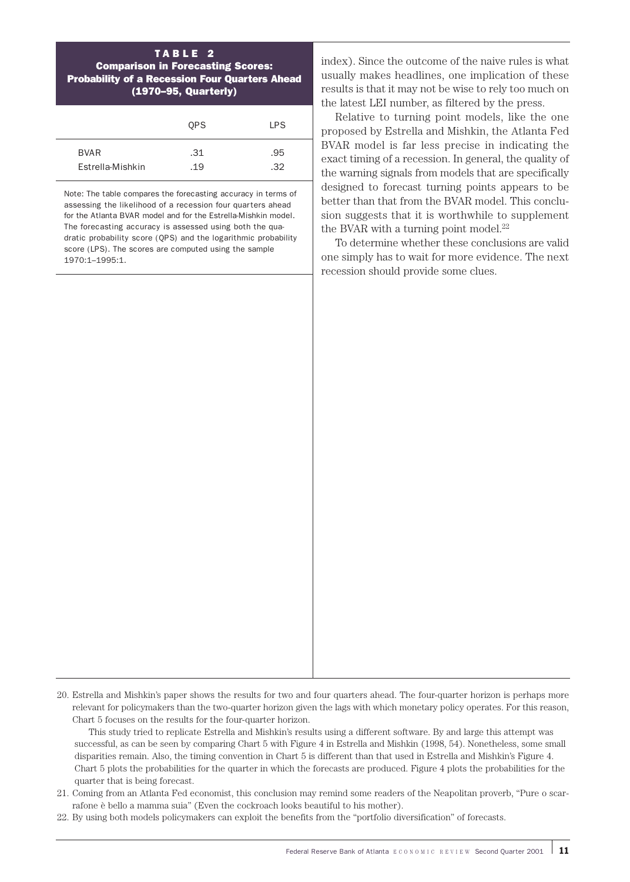#### TABLE<sub>2</sub> Comparison in Forecasting Scores: Probability of a Recession Four Quarters Ahead (1970–95, Quarterly)

|                  | <b>OPS</b> | <b>LPS</b> |
|------------------|------------|------------|
| <b>BVAR</b>      | .31        | .95        |
| Estrella-Mishkin | .19        | .32        |

Note: The table compares the forecasting accuracy in terms of assessing the likelihood of a recession four quarters ahead for the Atlanta BVAR model and for the Estrella-Mishkin model. The forecasting accuracy is assessed using both the quadratic probability score (QPS) and the logarithmic probability score (LPS). The scores are computed using the sample 1970:1–1995:1.

index). Since the outcome of the naive rules is what usually makes headlines, one implication of these results is that it may not be wise to rely too much on the latest LEI number, as filtered by the press.

Relative to turning point models, like the one proposed by Estrella and Mishkin, the Atlanta Fed BVAR model is far less precise in indicating the exact timing of a recession. In general, the quality of the warning signals from models that are specifically designed to forecast turning points appears to be better than that from the BVAR model. This conclusion suggests that it is worthwhile to supplement the BVAR with a turning point model.<sup>22</sup>

To determine whether these conclusions are valid one simply has to wait for more evidence. The next recession should provide some clues.

20. Estrella and Mishkin's paper shows the results for two and four quarters ahead. The four-quarter horizon is perhaps more relevant for policymakers than the two-quarter horizon given the lags with which monetary policy operates. For this reason, Chart 5 focuses on the results for the four-quarter horizon.

This study tried to replicate Estrella and Mishkin's results using a different software. By and large this attempt was successful, as can be seen by comparing Chart 5 with Figure 4 in Estrella and Mishkin (1998, 54). Nonetheless, some small disparities remain. Also, the timing convention in Chart 5 is different than that used in Estrella and Mishkin's Figure 4. Chart 5 plots the probabilities for the quarter in which the forecasts are produced. Figure 4 plots the probabilities for the quarter that is being forecast.

- 21. Coming from an Atlanta Fed economist, this conclusion may remind some readers of the Neapolitan proverb, "Pure o scarrafone è bello a mamma suia" (Even the cockroach looks beautiful to his mother).
- 22. By using both models policymakers can exploit the benefits from the "portfolio diversification" of forecasts.